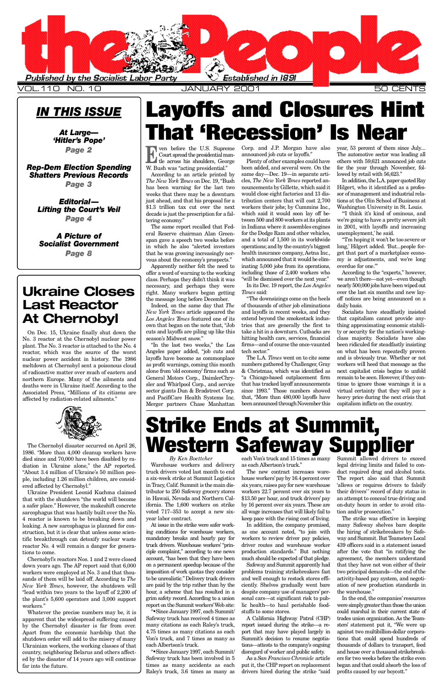<span id="page-0-0"></span>

VOL.110 NO.10 **12 CENTS AN A RY 2001** 

## *IN THIS ISSUE*

At Large-'Hitler's Pope' *Page 2*

*[Rep-Dem Election Spending](#page-2-0)* **Shatters Previous Records** 

> *By Ken Boettcher* Warehouse workers and delivery truck drivers voted last month to end a six-week strike at Summit Logistics in Tracy, Calif. Summit is the main distributor to 250 Safeway grocery stores in Hawaii, Nevada and Northern California. The 1,600 workers on strike voted 717–353 to accept a new sixyear labor contract. At issue in the strike were safer working conditions for warehouse workers, mandatory breaks and hourly pay for truck drivers. Warehouse workers' "principle complaint," according to one news account, "has been that they have been on a permanent speedup because of the imposition of work quotas they consider to be unrealistic." Delivery truck drivers are paid by the trip rather than by the hour, a scheme that has resulted in a grim safety record. According to a union report on the Summit workers'Web site: "•Since January 1997, each Summit/ Safeway truck has received 4 times as many citations as each Raley's truck, 4.75 times as many citations as each Von's truck, and 7 times as many as each Albertson's truck. "•Since January 1997, each Summit/ Safeway truck has been involved in 5 times as many accidents as each Raley's truck, 3.6 times as many as

each Von's truck and 15 times as many as each Albertson's truck."

*Page 3*

*Ed i t o r i al—* **Lifting the Court's Veil** *Page 4*

*A Picture of* **Socialist Government** *Page 8*

> As a *San Francisco Chronicle* article put it, the CHP report on replacement drivers hired during the strike "said

The new contract increases warehouse workers'pay by 16.4 percent over six years, raises pay for new warehouse workers 22.7 percent over six years to \$13.50 per hour, and truck drivers' pay by 16 percent over six years. These are all wage increases that will likely fail to keep pace with the rising cost of living. In addition, the company promised, as one account noted, "to join with workers to review driver pay policies, driver routes and warehouse worker production standards." But nothing much should be expected of that pledge. Safeway and Summit apparently had problems training strikebreakers fast and well enough to restock stores efficiently. Shelves gradually went bare despite company use of managers' personal cars—at significant risk to public health—to haul perishable foodstuffs to some stores. A California Highway Patrol (CHP) report issued during the strike—a report that may have played largely in Summit's decision to resume negotiations—attests to the company's ongoing disregard of worker and public safety.

According to an article printed by *The New York Times* on Dec. 19, "Bush has been warning for the last two weeks that there may be a downturn just ahead, and that his proposal for a \$1.3 trillion tax cut over the next decade is just the prescription for a faltering economy."

Apparently neither felt the need to offer a word of warning to the working class. Perhaps they didn't think it was necessary, and perhaps they were right. Many workers began getting the message long before December.

Indeed, on the same day that The *New York Times* article appeared the Los Angeles Times featured one of its own that began on the note that, "Job cuts and layoffs are piling up like this season's Midwest snow."

Plenty of other examples could have been added, and several were. On the same day—Dec. 19—in separate articles, The New York Times reported announcements by Gillette, which said it would close eight factories and 13 distribution centers that will cost 2,700 workers their jobs; by Cummins Inc., which said it would soon lay off between 500 and 800 workers at its plants in Indiana where it assembles engines for the Dodge Ram and other vehicles, and a total of 1,500 in its worldwide operations; and by the country's biggest health insurance company, Aetna Inc., which announced that it would be eliminating 5,000 jobs from its operations, including those of 2,400 workers who "will be dismissed over the next year."

In its Dec. 19 report, the *Los Angeles Times* said:

"The downsizings come on the heels of thousands of other job eliminations and layoffs in recent weeks, and they extend beyond the smokestack industries that are generally the first to take a hit in a downturn. Cutbacks are hitting health care, services, financial firms—and of course the once-vaunted tech sector."

> Summit allowed drivers to exceed legal driving limits and failed to conduct required drug and alcohol tests. The report also said that Summit 'allows or requires drivers to falsify their drivers'' record of duty status in an attempt to conceal true driving and on-duty hours in order to avoid citation and/or prosecution." The strike was effective in keeping many Safeway shelves bare despite the hiring of strikebreakers by Safeway and Summit. But Teamsters Local 439 officers said in a statement issued after the vote that "in ratifying the agreement, the members understand that they have not won either of their two principal demands—the end of the activity-based pay system, and negotiation of new production standards in the warehouse." In the end, the companies' resources were simply greater than those the union could marshal in their current state of trades union organization. As the Teamsters' statement put it, "We were up against two multibillion-dollar corporations that could spend hundreds of thousands of dollars to transport, feed and house over a thousand strikebreakers for two weeks before the strike even began and that could absorb the loss of profits caused by our boycott."

The L.A. *Times* went on to cite some numbers gathered by Challenger, Gray & Christmas, which was identified as "a Chicago-based outplacement firm that has tracked layoff announcements since 1993." Those numbers showed that, "More than 480,000 layoffs have been announced through November this

year, 53 percent of them since July.... The automotive sector was leading all others with 59,621 announced job cuts for the year through November, followed by retail with 56,623."

"'I think it's kind of ominous, and we're going to have a pretty severe jolt in 2001, with layoffs and increasing unemployment,' he said.

"'I'm hoping it won't be too severe or long,' Hilgert added. 'But...people forget that part of a marketplace economy is adjustments, and we're long overdue for one."

The same report recalled that Federal Reserve chairman Alan Greenspan gave a speech two weeks before in which he also "alerted investors that he was growing increasingly nervous about the economy's prospects."

"In the last two weeks," the Los Angeles paper added, "job cuts and layoffs have become as commonplace as profit warnings, coming this month alone from 'old economy' firms such as General Motors Corp., DaimlerChrysler and Whirlpool Corp., and service sector giants Dun & Bradstreet Corp. and PacifiCare Health Systems Inc. Merger partners Chase Manhattan

Corp. and J.P. Morgan have also announced job cuts or layoffs."

> In addition, the L.A. paper quoted Ray Hilgert, who it identified as a professor of management and industrial relations at the Olin School of Business at Washington University in St. Louis.

> According to the "experts," however, we aren't there—not yet—even though nearly 500,000 jobs have been wiped out over the last six months and new layoff notices are being announced on a daily basis.

> Socialists have steadfastly insisted that capitalism cannot provide anything approximating economic stability or security for the nation's workingclass majority. Socialists have also been ridiculed for steadfastly insisting on what has been repeatedly proven and is obviously true. Whether or not workers will heed that message as the next capitalist crisis begins to unfold remain to be seen. However, if they continue to ignore those warnings it is a virtual certainty that they will pay a heavy price during the next crisis that capitalism inflicts on the country.

On Dec. 15, Ukraine finally shut down the No. 3 reactor at the Chernobyl nuclear power plant. The No. 3 reactor is attached to the No. 4 reactor, which was the source of the worst nuclear power accident in history. The 1986 meltdown at Chernobyl sent a poisonous cloud of radioactive matter over much of eastern and northern Europe. Many of the ailments and deaths were in Ukraine itself. According to the Associated Press, "Millions of its citizens are affected by radiation-related ailments."



The Chernobyl disaster occurred on April 26, 1986. "More than 4,000 cleanup workers have died since and 70,000 have been disabled by radiation in Ukraine alone," the AP reported. "About 3.4 million of Ukraine's 50 million people, including 1.26 million children, are considered affected by Chernobyl."

Ukraine President Leonid Kuchma claimed that with the shutdown "the world will become a safer place." However, the makeshift concrete sarcophagus that was hastily built over the No. 4 reactor is known to be breaking down and leaking. A new sarcophagus is planned for construction, but it is clear that unless some scientific breakthrough can detoxify nuclear waste reactor No. 4 will remain a danger for generations to come. Chernobyl's reactors Nos. 1 and 2 were closed down years ago. The AP report said that 6,000 workers were employed at No. 3 and that thousands of them will be laid off. According to *The New York Times*, however, the shutdown will "lead within two years to the layoff of 2,200 of the plant's 5,600 operators and 3,000 support workers." Whatever the precise numbers may be, it is apparent that the widespread suffering caused by the Chernobyl disaster is far from over. Apart from the economic hardship that the shutdown order will add to the misery of many Ukrainian workers, the working classes of that country, neighboring Belarus and others affected by the disaster of 14 years ago will continue far into the future.

# **Layoffs and Closures Hint hat 'Recession'** Is Near **Mear**

**EXECUTE SERVICE CONTRACTE CONTRACT CONTRACT CONTRACT CONTRACT CONTRACT CONTRACT CONTRACT CONTRACT CONTRACT CONTRACT CONTRACT CONTRACT CONTRACT CONTRACT CONTRACT CONTRACT CONTRACT CONTRACT CONTRACT CONTRACT CONTRACT CONTRA** Court spread the presidential mantle across his shoulders, George W. Bush was "acting presidential."

# Strike Ends at Summit, Western Safeway Supplier

## **Ukraine Closes Last Reactor At Chernobyl**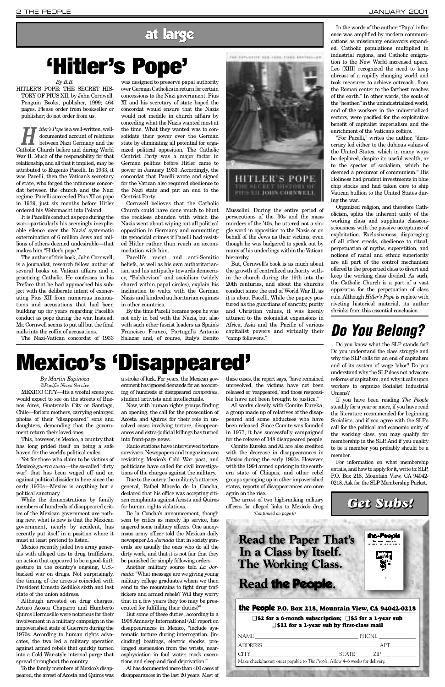#### *By Martin Espinoza ©Pacific News Service*

MEXICO CITY—It's a woeful scene you would expect to see on the streets of Buenos Aires, Guatemala City or Santiago, Chile—forlorn mothers, carrying enlarged photos of their "disappeared" sons and daughters, demanding that the government return their loved ones.

This, however, is Mexico, a country that has long prided itself on being a safe haven for the world's political exiles.

Yet for those who claim to be victims of Mexico's *guerra sucia*—the so-called "dirty war" that has been waged off and on against political dissidents here since the early 1970s—Mexico is anything but a political sanctuary.

While the demonstrations by family members of hundreds of disappeared critics of the Mexican government are nothing new, what is new is that the Mexican government, nearly by accident, has recently put itself in a position where it must at least pretend to listen. Mexico recently jailed two army generals with alleged ties to drug traffickers, an action that appeared to be a good-faith gesture in the country's ongoing, U.S. backed war on drugs. Not surprisingly, the timing of the arrests coincided with President Ernesto Zedillo's sixth and last state of the union address. Although arrested on drug charges, Arturo Acosta Chaparro and Humberto Quiros Hermosillo were notorious for their involvement in a military campaign in the impoverished state of Guerrero during the 1970s. According to human rights advocates, the two led a military operation against armed rebels that quickly turned into a Cold War-style internal purge that spread throughout the country.

To the family members of Mexico's disappeared, the arrest of Acosta and Quiros was a stroke of luck. For years, the Mexican government has ignored demands for an accounting of hundreds of disappeared *campesinos*, student activists and intellectuals.

Now, with human rights groups finding an opening, the call for the prosecution of Acosta and Quiros for their role in unsolved cases involving torture, disappearances and extra-judicial killings has turned into front-page news.

Radio stations have interviewed torture survivors. Newspapers and magazines are revisiting Mexico's Cold War past, and politicians have called for civil investigations of the charges against the military.

*itler's Pope* is a well-written, well-<br>documented account of relations<br>between Nazi Germany and the documented account of relations Catholic Church before and during World War II. Much of the responsibility for that relationship, and all that it implied, may be attributed to Eugenio Pacelli. In 1933, it was Pacelli, then the Vatican's secretary of state, who forged the infamous concordat between the church and the Nazi regime. Pacelli succeeded Pius XI as pope in 1939, just six months before Hitler ordered his Wehrmacht into Poland.

> Due to the outcry the military's attorney general, Rafael Macedo de la Concha, declared that his office was accepting citizen complaints against Acosta and Quiros for human rights violations. De la Concha's announcement, though seen by critics as merely lip service, has angered some military officers. One anonymous army officer told the Mexican daily newspaper *La Jornada* that in society generals are usually the ones who do all the dirty work, and that it is not fair that they be punished for simply following orders. Another military source told *La Jornada*: "What message are we giving young military college graduates whom we then send to the mountains to fight drug traffickers and armed rebels? Will they worry that in a few years they too may be prosecuted for fulfilling their duties?" But some of these duties, according to a 1998 Amnesty International (AI) report on disappearances in Mexico, "include systematic torture during interrogation...[including] beatings, electric shocks, prolonged suspension from the wrists, nearasphyxiation in foul water, mock executions and sleep and food deprivation."

> AI has documented more than 400 cases of disappearances in the last 20 years. Most of

these cases, the report says, "have remained unresolved, the victims have not been released or 'reappeared,' and those responsible have not been brought to justice."

AI works closely with Comite Eureka, a group made up of relatives of the disappeared and some abductees who have been released. Since Comite was founded in 1977, it has successfully campaigned for the release of 148 disappeared people.

Comite Eureka and AI are also credited with the decrease in disappearances in Mexico during the early 1990s. However, with the 1994 armed uprising in the southern state of Chiapas, and other rebel groups springing up in other impoverished states, reports of disappearances are once again on the rise.

The arrest of two high-ranking military

*By B.B.* HITLER'S POPE: THE SECRET HIS-TORY OF PIUS XII, by John Cornwell. Penguin Books, publisher, 1999; 464 pages. Please order from bookseller or publisher; do not order from us.

It is Pacelli's conduct as pope during the war—particularly his seemingly inexplicable silence over the Nazis' systematic extermination of 6 million Jews and millions of others deemed undesirable—that makes him "Hitler's pope."

The author of this book, John Cornwell, is a journalist, research fellow, author of several books on Vatican affairs and a practicing Catholic. He confesses in his Preface that he had approached his subject with the deliberate intent of exonerating Pius XII from numerous insinuations and accusations that had been building up for years regarding Pacelli's conduct as pope during the war. Instead, Mr. Cornwell seems to put all but the final nails into the coffin of accusations.

The Nazi-Vatican concordat of 1933

was designed to preserve papal authority over German Catholics in return for certain concessions to the Nazi government. Pius XI and his secretary of state hoped the concordat would ensure that the Nazis would not meddle in church affairs by conceding what the Nazis wanted most at the time. What they wanted was to consolidate their power over the German state by eliminating all potential for organized political opposition. The Catholic Centrist Party was a major factor in German politics before Hitler came to power in January 1933. Accordingly, the concordat that Pacelli wrote and signed for the Vatican also required obedience to the Nazi state and put an end to the Centrist Party.

Cornwell believes that the Catholic Church could have done much to blunt the reckless abandon with which the Nazis went about wiping out all political opposition in Germany and committing its genocidal crimes if Pacelli had resisted Hitler rather than reach an accommodation with him.

Pacelli's racist and anti-Semitic beliefs, as well as his own authoritarianism and his antipathy towards democracy, "Bolshevism" and socialism (widely shared within papal circles), explain his inclination to waltz with the German Nazis and kindred authoritarian regimes in other countries.

By the time Pacelli became pope he was not only in bed with the Nazis, but also with such other fascist leaders as Spain's Francisco Franco, Portugal's Antonio Salazar and, of course, Italy's Benito



Mussolini. During the entire period of persecutions of the '30s and the mass murders of the '40s, he uttered not a single word in opposition to the Nazis or on behalf of the Jews as their victims, even though he was badgered to speak out by many of his underlings within the Vatican hierarchy.

officers for alleged links to Mexico's drug *(Continued on page 6)*

But, Cornwell's book is as much about the growth of centralized authority within the church during the 19th into the 20th centuries, and about the church's conduct since the end of World War II, as it is about Pacelli. While the papacy postured as the guardians of sanctity, purity and Christian values, it was keenly attuned to the colonialist expansions in Africa, Asia and the Pacific of various capitalist powers and virtually their "camp followers."

In the words of the author: "Papal influence was amplified by modern communications as missionary endeavors expanded. Catholic populations multiplied in industrial regions, and Catholic emigration to the New World increased apace. Leo [XIII] recognized the need to keep abreast of a rapidly changing world and took measures to achieve outreach...from the Roman center to the farthest reaches of the earth." In other words, the souls of the "heathen" in the unindustrialized world, and of the workers in the industrialized sectors, were pacified for the exploitative benefit of capitalist imperialism and the enrichment of the Vatican's coffers.

"For Pacelli," writes the author, "democracy led either to the dubious values of the United States, which in many ways he deplored, despite its useful wealth, or to the specter of socialism, which he deemed a precursor of communism." His Holiness had prudent investments in blue chip stocks and had taken care to ship Vatican bullion to the United States during the war.

Organized religion, and therefore Catholicism, splits the inherent unity of the working class and supplants classconsciousness with the passive acceptance of exploitation. Exclusiveness, disparaging of all other creeds, obedience to ritual, perpetuation of myths, superstition, and notions of racial and ethnic superiority are all part of the control mechanism offered to the propertied class to divert and keep the working class divided. As such, the Catholic Church is a part of a vast apparatus for the perpetuation of class rule. Although *Hitler's Pope* is replete with riveting historical material, its author shrinks from this essential conclusion.

# <span id="page-1-0"></span>**'Hitler's Pope'**

## *Do You Belong?*

Do you know what the SLP stands for? Do you understand the class struggle and why the SLP calls for an end of capitalism and of its system of wage labor? Do you understand why the SLP does not advocate reforms of capitalism, and why it calls upon workers to organize Socialist Industrial Unions?

If you have been reading *The People* steadily for a year or more, if you have read the literature recommended for beginning Socialists, and if you agree with the SLP's call for the political and economic unity of the working class, you may qualify for membership in the SLP. And if you qualify to be a member you probably should be a member.

For information on what membership entails, and how to apply for it, write to: SLP, P.O. Box 218, Mountain View, CA 94042- 0218. Ask for the SLP Membership Packet.

#### the People **P.O. Box 218, Mountain View, CA 94042-0218**

❑ **\$2 for a 6-month subscription;** ❑ **\$5 for a 1-year sub** ❑ **\$11 for a 1-year sub by first-class mail**

| NAME                                                                        | $\_$ PHONE ________________ |
|-----------------------------------------------------------------------------|-----------------------------|
| ADDRESS                                                                     | $AP1$ $\longrightarrow$     |
|                                                                             | CITY STATE ZIP              |
| Make check/money order payable to The People. Allow 4–6 weeks for delivery. |                             |
|                                                                             |                             |

## *Get Subs!*

the People

**Read the Paper That's** In a Class by Itself. The Working Class.

# Read the People.

## at large

# **Mexico's 'Disappeared'**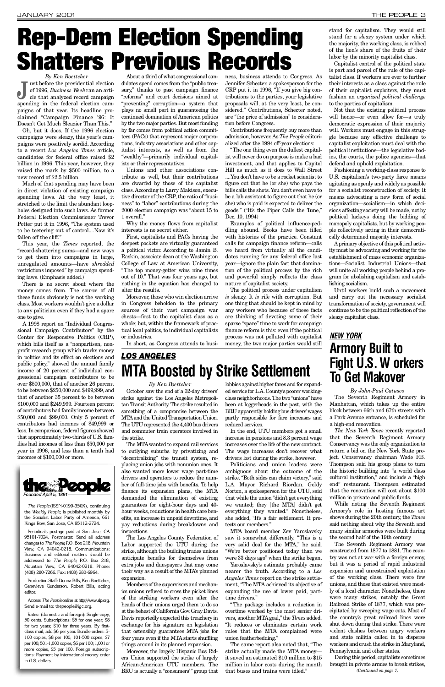*By Ken Boettcher* of 1996, Business Week ran an article that analyzed record campaign<br>spending in the federal election camust before the presidential election of 1996, *Business We e k*ran an article that analyzed record campaign paigns of that year. Its headline proclaimed "Campaign Finance '96: It Doesn't Get Much Sleazier Than This."

Much of that spending may have been in direct violation of existing campaign spending laws. At the very least, it stretched to the limit the abundant loopholes designed into such laws. As former Federal Election Commissioner Trevor Potter put it in 1996, "The system used to be teetering out of control....Now it's fallen off the cliff."

This year, the *Times* reported, the "record-shattering sums—and new ways to get them into campaigns in large, unregulated amounts—have *shredded* restrictions imposed" by campaign spending laws. (Emphasis added.)

Oh, but it does. If the 1996 election campaigns were sleazy, this year's campaigns were positively sordid. According to a recent *Los Angeles Times* article, candidates for federal office raised \$2 billion in 1996. This year, however, they raised the mark by \$500 million, to a new record of \$2.5 billion.

There is no secret about where the money comes from. The source of all these funds obviously is not the working class. Most workers wouldn't give a dollar to any politician even if they had a spare one to give.

A 1998 report on "Individual Congressional Campaign Contributors" by the Center for Responsive Politics (CRP), which bills itself as a "nonpartisan, nonprofit research group which tracks money in politics and its effect on elections and public policy," showed the annual family income of 20 percent of individual congressional campaign contributors to be over \$500,000, that of another 26 percent to be between \$250,000 and \$499,999, and that of another 35 percent to be between \$100,000 and \$249,999. Fourteen percent of contributors had family income between \$50,000 and \$99,000. Only 5 percent of contributors had incomes of \$49,999 or less. In comparison, federal figures showed that approximately two-thirds of U.S. families had incomes of less than \$50,000 per year in 1996, and less than a tenth had incomes of \$100,000 or more.

Moreover, those who win election arrive in Congress beholden to the primary sources of their vast campaign war chests—first to the capitalist class as a whole; but, within the framework of practical local politics, to individual capitalists or industries.

ness, business attends to Congress. As Jennifer Schecter, a spokesperson for the CRP put it in 1996, "If you give big contributions to the parties, your legislative proposals will, at the very least, be considered." Contributions, Schecter noted, are "the price of admission" to consideration before Congress.

About a third of what congressional candidates spend comes from the "public treasury," thanks to past campaign finance "reforms" and court decisions aimed at "preventing" corruption—a system that plays no small part in guaranteeing the continued domination of American politics by the two major parties. But most funding by far comes from political action committees (PACs) that represent major corporations, industry associations and other capitalist interests, as well as from the "wealthy"—primarily individual capitalists or their representatives.

> The political process under capitalism *is* sleazy. It *is* rife with corruption. But one thing that should be kept in mind by any workers who because of these facts are thinking of devoting some of their sparse "spare" time to work for campaign finance reform is this: even if the political process was not polluted with capitalist money, the two major parties would still

Unions and other associations contribute as well, but their contributions are dwarfed by those of the capitalist class. According to Larry Makison, executive director of the CRP, the ratio of "business" to "labor" contributions during the 2000 election campaign was "about 15 to 1 overall."

Why the money flows from capitalist interests is no secret either.

First, capitalists and PACs having the deepest pockets are virtually guaranteed a political victor. According to Jamin B. Raskin, associate dean at the Washington College of Law at American University, "The top money-getter wins nine times out of 10." That was four years ago, but nothing in the equation has changed to alter the results.

## *LOS ANGELES* **MTA Boosted by Strike Settlement**

#### **By Ken Boettcher**

In short, as Congress attends to busi-

Contributions frequently buy more than admission, however. As *The People* editorialized after the 1994 off-year elections:

"The one thing even the dullest capitalist will never do on purpose is make a bad investment, and that applies to Capitol Hill as much as it does to Wall Street ....You don't have to be a rocket scientist to figure out that he (or she) who pays the bills calls the shots. You don't even have to be a lab assistant to figure out that he (or she) who is paid is expected to deliver the goods." ("It's the Piper Calls the Tune," Dec. 10, 1994)

Examples of political influence-peddling abound. Books have been filled with histories of the practice. Constant calls for campaign finance reform—calls we heard from virtually all the candidates running for any federal office last year—ignore the plain fact that domination of the political process by the rich and powerful simply reflects the class nature of capitalist society.

MTA board member Zev Yaroslavsky saw it somewhat differently. "This is a very solid deal for the MTA," he said. " We're better positioned today than we were 33 days ago" when the strike began.

Yaroslavsky's estimate probably came nearer the truth. According to a Los Angeles Times report on the strike settlement, "The MTA achieved its objective of expanding the use of lower paid, parttime drivers."

stand for capitalism. They would still stand for a *sleazy* system under which the majority, the working class, is robbed of the lion's share of the fruits of their labor by the minority capitalist class.

Capitalist control of the political state is part and parcel of the rule of the capitalist class. If workers are ever to further their interests as a class against the rule of their capitalist exploiters, they must fashion an *organized political challenge* to the parties of capitalism.

Not that the existing political process will honor—or even allow for—a truly democratic expression of their majority will. Workers must engage in this struggle because any effective challenge to capitalist exploitation must deal with the political institutions—the legislative bodies, the courts, the police agencies—that defend and uphold exploitation.

The New York Times recently reported that the Seventh Regiment Armory Conservancy was the only organization to return a bid on the New York State project. Conservancy chairman Wade F.B. Thompson said his group plans to turn the historic building into "a world class cultural institution," and include a "high end" restaurant. Thompson estimated that the renovation will cost about \$100 million in private and public funds.

Fashioning a working-class response to U.S. capitalism's two-party farce means agitating as openly and widely as possible for a socialist reconstruction of society. It means advocating a new form of social organization—socialism—in which decisions affecting society will be made, not by political lackeys doing the bidding of monopoly capitalists, but by working people collectively acting in their democratically determined majority interests.

Aprimary objective of this political activity must be advocating and working for the establishment of mass economic organizations—Socialist Industrial Unions—that will unite all working people behind a program for abolishing capitalism and establishing socialism.

Until workers build such a movement and carry out the necessary socialist transformation of society, government will continue to be the political reflection of the sleazy capitalist class.

October saw the end of a 32-day drivers' strike against the Los Angeles Metropolitan Transit Authority. The strike resulted in something of a compromise between the MTA and the United Transportation Union. The UTU represented the 4,400 bus drivers and commuter train operators involved in the strike.

The MTAwanted to expand rail services to outlying suburbs by privatizing and "decentralizing" the transit system, replacing union jobs with nonunion ones. It also wanted more lower wage part-time drivers and operators to reduce the number of full-time jobs with benefits. To help finance its expansion plans, the MTA demanded the elimination of existing guarantees for eight-hour days and 40 hour weeks, reductions in health care benefits, an increase in unpaid downtime, and pay reductions during breakdowns and inspections. The Los Angeles County Federation of Labor supported the UTU during the strike, although the building trades unions anticipate benefits for themselves from extra jobs and duespayers that may come their way as a result of the MTA's planned expansion. Members of the supervisors and mechanics unions refused to cross the picket lines of the striking workers even after the heads of their unions urged them to do so at the behest of California Gov. Gray Davis. Davis reportedly expected this treachery in exchange for his signature on legislation that ostensibly guarantees MTA jobs for four years even if the MTA starts shuffling things around in its planned expansion. Moreover, the largely Hispanic Bus Riders Union supported the strike of largely African-American UTU members. The BRU is actually a "consumers'" group that

lobbies against higher fares and for expanded service for L.A. County's poorer workingclass neighborhoods. The two "unions" have been at loggerheads in the past, with the BRU apparently holding bus drivers' wages partly responsible for fare increases and

reduced services.

In the end, UTU members got a small increase in pensions and 8.3 percent wage increases over the life of the new contract. The wage increases don't recover what drivers lost during the strike, however. Politicians and union leaders were ambiguous about the outcome of the strike. "Both sides can claim victory," said L.A. Mayor Richard Riordan. Goldy Norton, a spokesperson for the UTU, said that while the union "didn't get everything

we wanted; they [the MTA] didn't get everything they wanted." Nonetheless, she added, "It's a fair settlement. It protects our members."

" The package includes a reduction in overtime worked by the most senior drivers, another MTA goal," the *Times* added. "It reduces or eliminates certain work rules that the MTA complained were union featherbedding."

The same report also noted that, "The strike actually made the MTA moneyit saved an estimated \$10 million to \$15 million in labor costs during the month that buses and trains were idled."

# <span id="page-2-0"></span>Rep-Dem Election Spending Shatters Previous Records



*The People* (ISSN-0199-350X), continuing the *Weekly People*, is published monthly by the Socialist Labor Party of America, 661 Kings Row, San Jose, CA 95112-2724.

Periodicals postage paid at San Jose, CA 95101-7024. Postmaster: Send all address changes to *The People*, P.O. Box 218, Mountain View, CA 94042-0218. Communications: Business and editorial matters should be addressed to *The People*, P.O. Box 218, Mountain View, CA 94042-0218. Phone: (408) 280-7266. Fax: (408) 280-6964.

Production Staff: Donna Bills, Ken Boettcher, Genevieve Gunderson. Robert Bills, acting editor

Access The Peopleonline at http://www.slp.org. Send e-mail to: thepeople@igc.org.

Rates: (domestic and foreign): Single copy, 50 cents. Subscriptions: \$5 for one year; \$8 for two years; \$10 for three years. By firstclass mail, add \$6 per year. Bundle orders: 5- 100 copies, \$8 per 100; 101-500 copies, \$7 per 100; 501-1,000 copies, \$6 per 100; 1,001 or more copies, \$5 per 100. Foreign subscriptions: Payment by international money order in U.S. dollars.

*By John-Paul Catusco* The Seventh Regiment Armory in Manhattan, which takes up the entire block between 66th and 67th streets with a Park Avenue entrance, is scheduled for a high-end renovation.

While noting the Seventh Regiment Armory's role in hosting famous art shows during the 20th century, the *Times* said nothing about why the Seventh and many similar armories were built during the second half of the 19th century. The Seventh Regiment Armory was constructed from 1877 to 1881. The country was not at war with a foreign enemy, but it was a period of rapid industrial expansion and unrestrained exploitation of the working class. There were few unions, and those that existed were mostly of a local character. Nonetheless, there were many strikes, notably the Great Railroad Strike of 1877, which was precipitated by sweeping wage cuts. Most of the country's great railroad lines were shut down during that strike. There were violent clashes between angry workers and state militia called in to disperse workers and crush the strike in Maryland, Pennsylvania and other states.

During this period, capitalists sometimes brought in private armies to break strikes, *(Continued on page 7)*

## *N E W Y O R K* **Armory Built to Fight U.S. W orkers To Get Makover**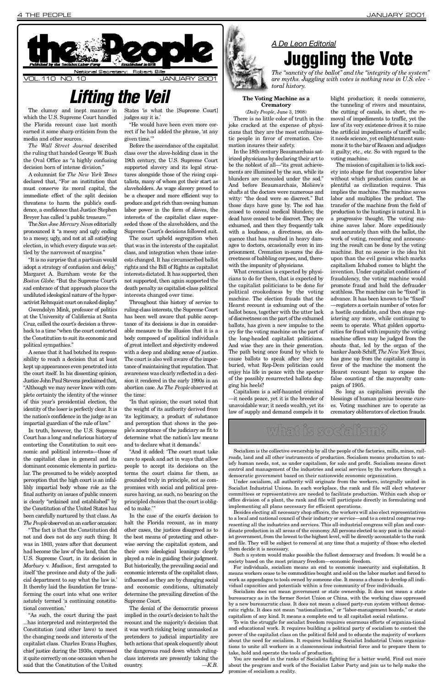The clumsy and inept manner in which the U.S. Supreme Court handled the Florida recount case last month earned it some sharp criticism from the media and other sources.

*The Wall Street Journal described* the ruling that handed George W. Bush the Oval Office as "a highly confusing decision born of intense division."

A columnist for *The New York Times* declared that, "For an institution that must conserve its moral capital, the immediate effect of the split decision threatens to harm the public's confidence, a confidence that Justice Stephen Breyer has called 'a public treasure.'"

The *San Jose Mercury New*s editorially pronounced it "a messy and ugly ending to a messy, ugly, and not at all satisfying election, in which every dispute was settled by the narrowest of margins."

A sense that it had botched its responsibility to reach a decision that at least kept up appearances even penetrated into the court itself. In his dissenting opinion, Justice John Paul Stevens proclaimed that, "Although we may never know with complete certainty the identity of the winner of this year's presidential election, the identity of the loser is perfectly clear. It is the nation's confidence in the judge as an impartial guardian of the rule of law."

"It is no surprise that a partisan would adopt a strategy of confusion and delay," Margaret A. Burnham wrote for the *Boston Globe*. "But the Supreme Court's sad embrace of that approach places the undiluted ideological nature of the hyperactivist Rehnquist court on naked display. "

the Constitution of the United States has been carefully nurtured by that class. As The People observed on an earlier occasion:

Gwendolyn Mink, professor of politics at the University of California at Santa Cruz, called the court's decision a throwback to a time "when the court contorted the Constitution to suit its economic and political sympathies."

In truth, however, the U.S. Supreme Court has a long and nefarious history of contorting the Constitution to suit economic and political interests—those of the capitalist class in general and its dominant economic elements in particular. The presumed to be widely accepted perception that the high court is an infallibly impartial body whose role as the final authority on issues of public concern is clearly "ordained and established" by

"The fact is that the Constitution did not and does not do any such thing. It was in 1803, years after that document had become the law of the land, that the U.S. Supreme Court, in its decision in *Marbury v. Madison*, first arrogated to itself 'the province and duty of the judicial department to say what the law is.' It thereby laid the foundation for transforming the court into what one writer astutely termed 'a continuing constitutional convention. '

The denial of the democratic process implied in the court's decision to halt the recount and the majority's decision that it was worth risking being unmasked as pretenders to judicial impartiality are both actions that speak eloquently about the dangerous road down which rulingclass interests are presently taking the country. — *K.B.* 

"As such, the court during the past ...has interpreted and reinterpreted the Constitution (and other laws) to meet the changing needs and interests of the capitalist class. Charles Evans Hughes, chief justice during the 1930s, expressed it quite correctly on one occasion when he said that the Constitution of the United

#### **The Voting Machine as a C** rematory

States 'is what the [Supreme Court] judges say it is.'

"He would have been even more correct if he had added the phrase, 'at any given time.'"

Before the ascendance of the capitalist class over the slave-holding class in the 19th century, the U.S. Supreme Court supported slavery and its legal structures alongside those of the rising capitalists, many of whom got their start as slaveholders. As wage slavery proved to be a cheaper and more efficient way to produce and get rich than owning human labor power in the form of slaves, the interests of the capitalist class superseded those of the slaveholders, and the Supreme Court's decisions followed suit.

The court upheld segregation when that was in the interests of the capitalist class, and integration when those interests changed. It has circumscribed ballot rights and the Bill of Rights as capitalist interests dictated. It has supported, then not supported, then again supported the death penalty as capitalist-class political interests changed over time.

Throughout this history of service to ruling-class interests, the Supreme Court has been well aware that public acceptance of its decisions is due in considerable measure to the illusion that it is a body composed of apolitical individuals of great intellect and objectivity endowed with a deep and abiding sense of justice. The court is also well aware of the importance of maintaining that reputation. That awareness was clearly reflected in a decision it rendered in the early 1990s in an abortion case. As *The People*observed at the time:

"In that opinion, the court noted that the weight of its authority derived from 'its legitimacy, a product of substance and perception that shows in the people's acceptance of the judiciary as fit to determine what the nation's law means and to declare what it demands.'

## *A De Leon Editorial* **Juggling the Vote**

"And it added: 'The court must take care to speak and act in ways that allow people to accept its decisions on the terms the court claims for them, as grounded truly in principle, not as compromises with social and political pressures having, as such, no bearing on the principled choices that the court is oblig-

ed to make.'"

In the case of the court's decision to halt the Florida recount, as in many other cases, the justices disagreed as to the best means of protecting and otherwise serving the capitalist system, and their own ideological leanings clearly played a role in guiding their judgment. But historically, the prevailing social and economic interests of the capitalist class, influenced as they are by changing social and economic conditions, ultimately determine the prevailing direction of the Supreme Court.

(*Daily People*, June 3, 1908) There is no little color of truth in the joke cracked at the expense of physicians that they are the most enthusiastic people in favor of cremation. Cremation insures their safety.

In the 18th century Beaumarchais satirized physicians by declaring their art to be the noblest of all—"its great achievements are illumined by the sun, while its blunders are concealed under the sod." And before Beaumarchais, Molière's shafts at the doctors were numerous and witty: "the dead were so discreet." But those days have gone by. The sod has ceased to conceal medical blunders; the dead have ceased to be discreet. They are exhumed, and then they frequently talk with a loudness, a directness, an eloquence that has resulted in heavy damages to doctors, occasionally even in imprisonment. Cremation in-sures the discreetness of babbling corpses, and, therewith the impunity of physicians.

What cremation is expected by physicians to do for them, that is expected by the capitalist politicians to be done for political crookedness by the voting machine. The election frauds that the Hearst recount is exhuming out of the ballot boxes, together with the utter lack of discreetness on the part of the exhumed ballots, has given a new impulse to the cry for the voting machine on the part of the long-headed capitalist politicians. And wise they are in their generation. The path being once found by which to cause ballots to speak after they are buried, what Rep-Dem politician could enjoy his life in peace with the specter of the possibly resurrected ballots dogging his heels?

Capitalism is a self-haunted criminal —it needs peace, yet it is the breeder of unavoidable war; it needs wealth, yet its law of supply and demand compels it to

blight production; it needs commerce, the tunneling of rivers and mountains, the cutting of canals, in short, the removal of impediments to traffic, yet the law of its very existence drives it to raise the artificial impediments of tariff walls; it needs science, yet enlightenment summons it to the bar of Reason and adjudges it guilty; etc., etc. So with regard to the voting machine.

The mission of capitalism is to lick society into shape for that cooperative labor without which production cannot be as plentiful as civilization requires. This implies the machine. The machine saves labor and multiplies the product. The transfer of the machine from the field of production to the hustings is natural. It is a progressive thought. The voting machine saves labor. More expeditiously and accurately than with the ballot, the work of voting, recording and announcing the result can be done by the voting machine. But no sooner is the idea hit upon than the evil genius which marks capitalism Ichabod comes to blight the invention. Under capitalist conditions of fraudulency, the voting machine would promote fraud and hold the defrauder scathless. The machine can be "fixed" in advance. It has been known to be "fixed" —registers a certain number of votes for a hostile candidate, and then stops registering any more, while continuing to seem to operate. What golden opportunities for fraud with impunity the voting machine offers may be judged from the shouts that, led by the organ of the banker Jacob Schiff, *The New York Times*, has gone up from the capitalist camp in favor of the machine the moment the Hearst recount began to expose the false counting of the mayoralty campaign of 1905.

So long as capitalism prevails the blessings of human genius become curses. Voting machines are to operate as crematory obliterators of election frauds.

<span id="page-3-0"></span>

**Lifting the Veil** 

*The "sanctity of the ballot" and the "integrity of the system" are myths. Juggling with votes is nothing new in U.S. elec toral history.*

## what is socialism?

Socialism is the collective ownership by all the people of the factories, mills, mines, railroads, land and all other instruments of production. Socialism means production to satisfy human needs, not, as under capitalism, for sale and profit. Socialism means direct control and management of the industries and social services by the workers through a democratic government based on their nationwide economic organization.

Under socialism, all authority will originate from the workers, integrally united in Socialist Industrial Unions. In each workplace, the rank and file will elect whatever committees or representatives are needed to facilitate production. Within each shop or office division of a plant, the rank and file will participate directly in formulating and implementing all plans necessary for efficient operations. Besides electing all necessary shop officers, the workers will also elect representatives to a local and national council of their industry or service—and to a central congress representing all the industries and services. This all-industrial congress will plan and coordinate production in all areas of the economy. All persons elected to any post in the socialist government, from the lowest to the highest level, will be directly accountable to the rank and file. They will be subject to removal at any time that a majority of those who elected them decide it is necessary.

Such a system would make possible the fullest democracy and freedom. It would be a society based on the most primary freedom—economic freedom.

For individuals, socialism means an end to economic insecurity and exploitation. It means workers cease to be commodities bought and sold on the labor market and forced to work as appendages to tools owned by someone else. It means a chance to develop all individual capacities and potentials within a free community of free individuals.

Socialism does not mean government or state ownership. It does not mean a state bureaucracy as in the former Soviet Union or China, with the working class oppressed by a new bureaucratic class. It does not mean a closed party-run system without democratic rights. It does not mean "nationalization," or "labor-management boards," or state capitalism of any kind. It means a complete end to all capitalist social relations.

To win the struggle for socialist freedom requires enormous efforts of organiza-tional and educational work. It requires building a political party of socialism to contest the power of the capitalist class on the political field and to educate the majority of workers about the need for socialism. It requires building Socialist Industrial Union organizations to unite all workers in a classconscious industrial force and to prepare them to take, hold and operate the tools of production.

You are needed in the ranks of Socialists fighting for a better world. Find out more about the program and work of the Socialist Labor Party and join us to help make the promise of socialism a reality.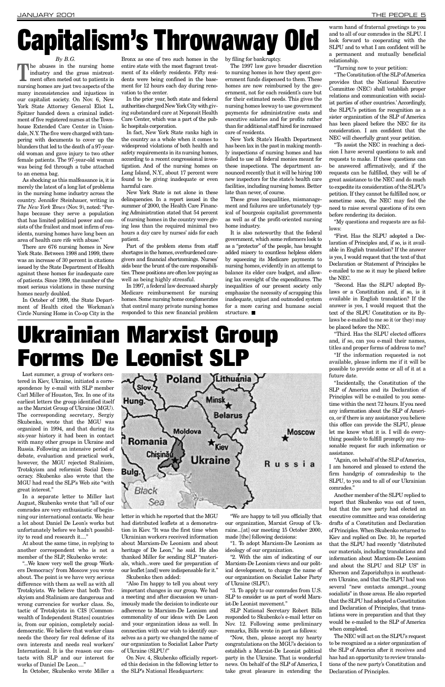#### *By B.G.*

The abuses in the nursing home<br>
industry and the gross mistreat-<br>
ment often meted out to patients in industry and the gross mistreatment often meted out to patients in nursing homes are just two aspects of the many inconsistencies and injustices in our capitalist society. On Nov. 6, New York State Attorney General Eliot L. Spitzer handed down a criminal indictment of five registered nurses at the Townhouse Extended Care Center in Uniondale, N.Y. The five were charged with tampering with documents to cover up the blunders that led to the death of a 97-yearold woman and gave injury to two other female patients. The 97-year-old woman was being fed through a tube attached to an enema bag.

As shocking as this malfeasance is, it is merely the latest of a long list of problems in the nursing home industry across the country. Jennifer Steinhauer, writing in *The New York Times* (Nov. 9), noted: "Perhaps because they serve a population that has limited political power and consists of the frailest and most infirm of residents, nursing homes have long been an area of health care rife with abuse."

New York State is not alone in these delinquencies. In a report issued in the summer of 2000, the Health Care Financing Administration stated that 54 percent of nursing homes in the country were giving less than the required minimal two hours a day care by nurses' aids for each patient.

There are 676 nursing homes in New York State. Between 1998 and 1999, there was an increase of 30 percent in citations issued by the State Department of Health against these homes for inadequate care of patients. Since 1999, the number of the most serious violations in these nursing homes nearly doubled.

In October of 1999, the State Department of Health cited the Workman's Circle Nursing Home in Co-op City in the

Bronx as one of two such homes in the entire state with the most flagrant treatment of its elderly residents. Fifty residents were being confined in the basement for 12 hours each day during renovation to the center.

In the prior year, both state and federal authorities charged New York City with giving substandard care at Neponsit Health Care Center, which was a part of the public hospitals corporation.

> It is also noteworthy that the federal government, which some reformers look to as a "protector" of the people, has brought added misery to countless helpless elders by squeezing its Medicare payments to nursing homes, evidently in an attempt to balance its elder care budget, and allowing lax oversight of the expenditures. The inequalities of our present society only emphasize the necessity of scrapping this inadequate, unjust and outmoded system for a more caring and humane social structure.  $\blacksquare$

In fact, New York State ranks high in the country as a whole when it comes to widespread violations of both health and safety requirements in its nursing homes, according to a recent congressional investigation. And of the nursing homes on Long Island, N.Y., about 17 percent were found to be giving inadequate or even harmful care.

warm hand of fraternal greetings to you and to all of our comrades in the SLPU. I look forward to cooperating with the SLPU and to what I am confident will be a permanent and mutually beneficial relationship.

"The Constitution of the SLP of America provides that the National Executive Committee (NEC) shall 'establish proper relations and communication with socialist parties of other countries.' Accordingly, the SLPU's petition for recognition as a sister organization of the SLP of America has been placed before the NEC for its consideration. I am confident that the NEC will cheerfully grant your petition.

Part of the problem stems from staff shortages in the homes, overburdened caregivers and financial shortcomings. Nurses' aids bear the brunt of the care responsibilities. These positions are often low paying as well as being highly stressful.

"My questions and requests are as follows:

In 1997, a federal law decreased sharply Medicare reimbursement for nursing homes. Some nursing home conglomerates that control many private nursing homes responded to this new financial problem by filing for bankruptcy.

The 1997 law gave broader discretion to nursing homes in how they spent government funds dispensed to them. These homes are now reimbursed by the government, not for each resident's care but for their estimated needs. This gives the nursing homes leeway to use government payments for administrative costs and executive salaries and for profits rather than for additional staff hired for increased care of residents.

New York State's Health Department has been lax in the past in making monthly inspections of nursing homes and has failed to use all federal monies meant for these inspections. The department announced recently that it will be hiring 100 new inspectors for the state's health care facilities, including nursing homes. Better late than never, of course.

These gross inequalities, mismanagement and failures are unfortunately typical of bourgeois capitalist governments as well as of the profit-oriented nursing home industry.

> The NEC will act on the SLPU's request to be recognized as a sister organization of the SLP of America after it receives and has had an opportunity to review translations of the new party's Constitution and Declaration of Principles.

# Capitalism's Throwaway Old

"Turning now to your petition:

"...We know very well the group 'Workers Democracy' from Moscow you wrote about. The point is we have very serious difference with them as well as with all Trotskyists. We believe that both Trotskyism and Stalinism are dangerous and wrong currencies for worker class. So, tactic of Trotskyists in CIS [Commonwealth of Independent States] countries is, from our opinion, completely socialdemocratic. We believe that worker class needs the theory for real defense of its own interests and needs real workers' International. It is the reason our contacts with SLP and our interest for works of Daniel De Leon...."

"To assist the NEC in reaching a decision I have several questions to ask and requests to make. If these questions can be answered affirmatively, and if the requests can be fulfilled, they will be of great assistance to the NEC and do much to expedite its consideration of the SLPU's petition. If they cannot be fulfilled now, or sometime soon, the NEC may feel the need to raise several questions of its own before rendering its decision.

"3. To apply to our comrades from U.S. SLP to consider us as part of world Marxist-De Leonist movement."

SLP National Secretary Robert Bills responded to Skubenko's e-mail letter on Nov. 12. Following some preliminary remarks, Bills wrote in part as follows:

"First. Has the SLPU adopted a Declaration of Principles and, if so, is it available in English translation? If the answer is yes, I would request that the text of that Declaration or Statement of Principles be e-mailed to me so it may be placed before the NEC.

"Now, then, please accept my hearty congratulations on the MGU's decision to establish a Marxist-De Leonist political party in the Ukraine. That is wonderful news. On behalf of the SLP of America, I take great pleasure in extending the

"Second. Has the SLPU adopted Bylaws or a Constitution and, if so, is it available in English translation? If the answer is yes, I would request that the text of the SLPU Constitution or its Bylaws be e-mailed to me so it (or they) may be placed before the NEC.

"Third. Has the SLPU elected officers and, if so, can you e-mail their names, titles and proper forms of address to me?

"If the information requested is not available, please inform me if it will be possible to provide some or all of it at a future date.

"Incidentally, the Constitution of the SLP of America and its Declaration of Principles will be e-mailed to you sometime within the next 72 hours. If you need any information about the SLP of Americ a, or if there is any assistance you believe this office can provide the SLPU, please let me know what it is. I will do everything possible to fulfill promptly any reasonable request for such information or assistance.

"Again, on behalf of the SLP of America, I am honored and pleased to extend the firm handgrip of comradeship to the SLPU, to you and to all of our Ukrainian comrades."

Another member of the SLPU replied to report that Skubenko was out of town,

but that the new party had elected an executive committee and was considering drafts of a Constitution and Declaration of Principles. When Skubenko returned to Kiev and replied on Dec. 10, he reported that the SLPU had recently "distributed our materials, including translations and information about Marxism-De Leonism and about the SLPU and SLP US" in Kherson and Zaporizhzhya in southeastern Ukraine, and that the SLPU had won several "new contacts amongst...young socialists" in those areas. He also reported that the SLPU had adopted a Constitution and Declaration of Principles, that translations were in preparation and that they would be e-mailed to the SLP of America when completed.

**L**ast summer, a group of workers centered in Kiev, Ukraine, initiated a correspondence by e-mail with SLP member Carl Miller of Houston, Tex. In one of its earliest letters the group identified itself as the Marxist Group of Ukraine (MGU). The corresponding secretary, Sergiy Skubenko, wrote that the MGU was organized in 1994, and that during its six-year history it had been in contact with many other groups in Ukraine and Russia. Following an intensive period of debate, evaluation and practical work, however, the MGU rejected Stalinism, Trotskyism and reformist Social Democracy. Skubenko also wrote that the MGU had read the SLP's Web site "with great interest."

In a separate letter to Miller last August, Skubenko wrote that "all of our comrades are very enthusiastic of beginning our international contacts. We hear a lot about Daniel De Leon's works but unfortunately before we hadn't possibility to read and research it...."



At about the same time, in replying to another correspondent who is not a member of the SLP, Skubenko wrote:

In October, Skubenko wrote Miller a

letter in which he reported that the MGU had distributed leaflets at a demonstration in Kiev. "It was the first time when Ukrainian workers received information about Marxism-De Leonism and about heritage of De Leon," he said. He also thanked Miller for sending SLP "materials, which...were used for preparation of our leaflet [and] were indispensable for it." Skubenko then added:

"Also I'm happy to tell you about very important changes in our group. We had a meeting and after discussion we unanimously made the decision to indicate our adherence to Marxism-De Leonism and commonality of our ideas with De Leon and your organization ideas as well. In connection with our wish to identify ourselves as a party we changed the name of our organization to Socialist Labor Party of Ukraine (SLPU)!"

On Nov. 4, Skubenko officially reported this decision in the following letter to the SLP's National Headquarters:

" We are happy to tell you officially that our organization, Marxist Group of Ukraine...[at] our meeting 15 October 2000, made [the] following decisions:

"1. To adopt Marxism-De Leonism as ideology of our organization.

"2. With the aim of indicating of our Marxism-De Leonism views and our political development, to change the name of our organization on Socialist Labor Party of Ukraine (SLPU).

# Ukrainian Marxist Group Forms De Leonist SLP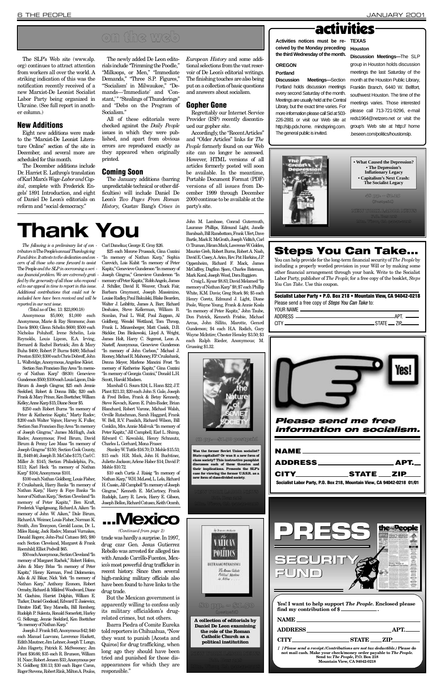*The following is a preliminary list of con tributors to* The People's*annual Thanksgiving Fund drive. It attests to the dedication and con cern of all those who came forward to assist* The People*and the SLPin overcoming a seri ous financial problem. We are extremely grati fied by the generosity of all those who respond ed to our appeal in time to report in this issue. Additional contributions that could not be included here have been received and will be reported in our next issue.*

( Total as of Dec. 13: \$23,890.18)

Anonymous \$5,000; \$1,000 each Anonymous, Marie & Ray Simmons; Joan Davis \$800; Glenn Schelin \$600; \$500 each Nicholas Poluhoff, Irene Schelin, Lois Reynolds, Louis Lipcon, E.A. Irving, Bernard & Rachel Bortnick; Jim & Mary Buha \$400; Robert P. Burns \$480; Michael Preston \$350; \$300 each Chris Dobreff, John L. Walbridge, Anonymous, Angeline Kleist.

Section San Francisco Bay Area "In memory of Nathan Karp" (\$830): Genevieve Gunderson \$500; \$100 each Louis Lipcon, Dale Birum & Joseph Gingras; \$25 each Jennie Seekford, Robert & Donna Bills; \$20 each Frank & Mary Prince, Ken Boettcher, William Kelley; Anne Karp \$15; Diane Secor \$5.

\$250 each Robert Burns "In memory of Peter & Katherine Kapitz," Marty Radov; \$200 each Walter Vojnov, Harvey K. Fuller, Section San Francisco Bay Area "In memory of Joseph Gingras," James McHugh, Jack Radov, Anonymous; Fred Birum, David Birum & Penny Lee Maas "In memory of Joseph Gingras" \$150; Section Cook County, Ill., \$449.46; Joseph B. McCabe \$175; Carl C. Miller Jr. \$145; Section Philadelphia, Pa., \$ 113; Karl Heck "In memory of Nathan Karp" \$104; Anonymous \$101.

\$100 each Nathan Goldberg, Louis Fisher, F. Cruikshank, Harry Banks "In memory of Nathan Karp," Harry & Faye Banks "In honor of Nathan Karp," Section Cleveland "In memory of Peter Kapitz," Ben Kraft, Frederick Vogelgesang, Richard A. Aiken "In memory of John W. Aiken," Dale Birum, Richard A. Weimer, Louis Fisher, Norman K. Smith, Jim Tennyson, Gerald Lucas, Dr. L. Miles Raisig, Jack Radov, Manuel Vurnakes, Donald Rogers; John-Paul Catusco \$85; \$80 each Section Cleveland, Margaret & Frank Roemhild; Elliot Podwill \$65. \$50 each Anonymous, Section Cleveland "In memory of Margaret Rachek," Robert Hofem, John & Mary Brlas "In memory of Peter Kapitz," Henry Korman, Fred Didomenico, Ada & Al Bikar, Nick York "In memory of Nathan Karp," Anthony Econom, Robert Ormsby, Richard & Mildred Woodward, Diane M. Giachino, Harriet Dolphin, William E. Tucker, Daniel Goodsaid, Edward T. Jasiewicz, Dimitre Eloff, Tony Marsella, Bill Romberg, Rudolph P. Sulenta, Ronald Somerlott, Harley G. Selkregg, Jennie Seekford, Ken Boettcher "In memory of Nathan Karp." Joseph J. Frank \$45; Anonymous \$42; \$40 each Manuel Luevano, Lawrence Hackett, Edith Mautner, Jim Lehner, Joseph T. Longo, John Hagerty, Patrick E. McSweeney; Jim Plant \$36.66; \$35 each R. Brunson, William H. Nace; Robert Jensen \$33; Anonymous per N. Goldberg \$30.13; \$30 each Roger Caron, Roger Stevens, Robert Rink, Milton A. Poulos, Carl Danelius; George E. Gray \$26.

The SLP's Web site (www.slp. org) continues to attract attention from workers all over the world. A striking indication of this was the notification recently received of a new Marxist-De Leonist Socialist Labor Party being organized in Ukraine. (See full report in another column.)

> \$25 each Monroe Prussack, Gina Cozzini "In memory of Nathan Karp," Sophia Carevich, Lois Kubit "In memory of Peter Kapitz," Genevieve Gunderson "In memory of Joseph Gingras," Genevieve Gunderson "In memory of Peter Kapitz," Robb Angelo, James J. Schiller, David R. Weaver, Chuck Fair, Barbara Graymont, Joseph Massimino, Louise Radley, Paul Bakulski, Blake Bearden, Walter J. Leibfritz, James A. Barr, Richard Deshaies, Steve Kellerman, William B. Scanlan, Paul L. Wolf, Paul Zuppan, Al Goldberg, Wendel Wettland, Tom Throop, Frank L. Minzenberger, Matt Casick, D.B. Stickler, Don Binkowski, Lloyd A. Wright, James Holt, Harry C. Segerest, Leon A . Nasteff, Anonymous, Genevieve Gunderson "In memory of John Carlson," Michael J. Rooney, Michael R. Mahoney, F.P. Cruikshank, Donna Meyer, Marlene Mancini Frost "In memory of Katherine Kapitz," Gina Cozzini "In memory of Georgia Cozzini," Donald L.H. Sccott, Harold Madsen.

> The January additions (barring unpredictable technical or other difficulties) will include Daniel De Leon's Two Pages From Roman *History*, Gustav Bang's Crises in

> Marshall G. Soura \$24; L. Hann \$22; J.T. Plant \$21.33; \$20 each John S. Gale, Joseph & Fred Bellon, Frank & Betsy Kennedy, Steve Kovach, Karen E. Palm-Bader, Brian Blanchard, Robert Varone, Michael Walsh, Orville Rutschman, Sarah Haggard, Frank W. Bell, R.V. Pasalich, Richard Wilson, Bill Conklin, Mrs. Annie Malivuk "In memory of Peter Kapitz," Jill Campbell, Earl L. Shimp, Edward C. Kowalski, Henry Schnautz, Charles L. Gerhard, Mona Fraser.

**Discussion Meetings—**The SLP group in Houston holds discussion meetings the last Saturday of the month at the Houston Public Library, Franklin Branch, 6440 W. Bellfort, southwest Houston. The time of the meetings varies. Those interested please call 713-721-9296, e-mail reds1964@netzero.net or visit the group's Web site at http:// home .beseen.com/politics/houstonslp.



Stanley W. Tuttle \$16.70; D. Mohle \$15.53; \$15 each H.R. Mock, John H. Buchtinec, Juliette Jackson; Arlene Haber \$14; David P. Mohle \$10.72.

#### Socialist Labor Party • P.O. Box 218 • Mountain View, CA 94042-0218 Please send a free copy of *Steps You Can Take* to: YOUR NAME  $-$

| AD.                       |
|---------------------------|
| 71 D                      |
| $\overline{\text{STATE}}$ |
|                           |

\$10 each Curtis J. Raisig "In memory of Nathan Karp," W.H. McLeod, L. Lela, Richard H. Cassin, Jill Campbell "In memory of Joseph Gingras," Kenneth E. McCartney, Frank Rudolph, Larry R. Lewis, Harry E. Gibson, Joseph Bellon, Richard Catusco, Keith Ocamb, • What Caused the Depression? • The Depression's **Inflationary Legacy** *<u>Capitalism's Next Crash:</u>* **The Socialist Legacy**

John M. Lambase, Conrad Gutermuth, Laurance Phillips, Edmund Light, Janelle Barabush, Bill Ransbottom, Frank Ufert, Dave Bartle, Mark R. McGrath, Joseph Viditch, Carl O. Truman, Hiram Mock, Lawrence W. Golden, Maurice Greb, Robert Burns, Robert A. Nash, David E. Casey, A. Arico, Rev. Pat Harkins, J.P. Oppenheim, Richard F. Mack, James McCaffrey, Dagfinn Sjoen, Charles Bateman, Mark Koral, Joseph Wood, Dora Ruggiero.

Ibarra Piedra of Comite Eureka told reporters in Chihuahua, "Now they want to punish [Acosta and Quiros] for drug trafficking, when long ago they should have been tried and punished for those disappearances for which they are responsible."

Craig L. Kysar \$8.83; David Melamed "In memory of Nathan Karp" \$8; \$7 each Phillip White, K.M. Davis; Greg Stark \$6; \$5 each Henry Coretz, Edmund J. Light, Diane Poole, Wayne Young, Frank & Annie Kosla "In memory of Peter Kapitz," John Taube, Don Patrick, Kenneth Frisbie, Michael Arcus, John Sillito, Marotte, Gerard Gunderson; \$4 each H.A. Rodich, Gary Wayne McIntire; Chester Hensley \$3.50; \$3 each Ralph Rieder, Anonymous; M. Grussing \$1.32.

new form of class-divided society.

#### New Additions

Eight new additions were made to the "Marxist-De Leonist Literature Online" section of the site in December, and several more are scheduled for this month.

The December additions include Dr. Harriet E. Lathrop's translation of Karl Marx's *Wage-Labor and Capital*, complete with Frederick Engels' 1891 Introduction, and eight of Daniel De Leon's editorials on reform and "social democracy."

The newly added De Leon editorials include "Trimming the Poodle," "Milksops, or Men," "Immediate Demands," "Three S.P. Figures," "Socialism' in Milwaukee," "Demands—'Immediate' and 'Constant," "Stealings of Thunderings" and "Debs on the Program of Socialism."

All of these editorials were checked against the *Daily People* issues in which they were published, and apart from obvious errors are reproduced exactly as they appeared when originally printed.

#### Coming Soon

*European History* and some additional selections from the vast reservoir of De Leon's editorial writings. The finishing touches are also being put on a collection of basic questions and answers about socialism.

#### Gopher Gone

Regrettably our Internet Service Provider (ISP) recently discontinued our gopher site.

Accordingly, the "Recent Articles" and "Older Articles" links for *The People* formerly found on our Web site can no longer be accessed. However, HTML versions of all articles formerly posted will soon be available. In the meantime, Portable Document Format (PDF) versions of all issues from December 1999 through December 2000 continue to be available at the party's site.

## activities

Activities notices must be re- TEXAS **ceived by the Monday preceding the third Wednesday of the month. Houston** 

#### **OREGON Portland**

**Discussion Meetings—Section** 

Portland holds discussion meetings every second Saturday of the month. Meetings are usually held at the Central Library, but the exact time varies. For more information please call Sid at 503- 226-2881 or visit our Web site at http://slp.pdx.home. mindspring.com. The general public is invited.



# **Thank You**

## Steps You Can Take...

You can help provide for the long-term financial security of *The People* by including a properly worded provision in your Will or by making some other financial arrangement through your bank. Write to the Socialist Labor Party, publisher of *The People*, for a free copy of the booklet, *Steps You Can Take*. Use this coupon.

48 pp. – \$2.25 (Postpaid)

NEW YORK LABOR NEWS P.O. Box 218 Mtn. View, CA 94042-0218

## on the web

trade was hardly a surprise. In 1997, drug czar Gen. Jesus Gutierrez Rebollo was arrested for alleged ties with Amado Carrillo-Fuentes, Mexico's most powerful drug trafficker in recent history. Since then several high-ranking military officials also have been found to have links to the drug trade.

But the Mexican government is apparently willing to confess only its military officialdom's drugrelated crimes, but not others.



*(Continued from page 2)*

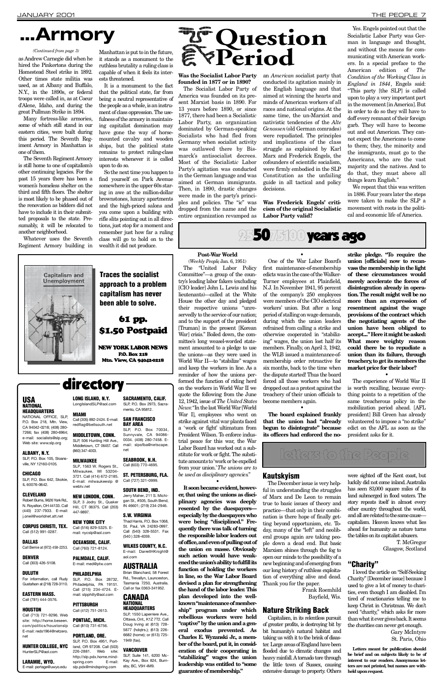**Post-War World** (*Weekly People*, Jan. 6, 1951) The "United Labor Policy Committee"—a group of the country's leading labor fakers (excluding [CIO leader] John L. Lewis and his lieutenants)—called at the White House the other day and pledged their respective unions "unreservedly to the service of our nation; and to the support of the president [ Truman] in the present [Korean War] crisis." Boiled down, the committee's long weasel-worded statement amounted to a pledge to use the unions—as they were used in

#### *News*: "In the last World War [World War I], employees who went on strike against vital war plants faced a 'work or fight' ultimatum from President Wilson. To enforce industrial peace for this war, the War Labor Board has worked out a substitute for work or fight. The substitute amounts to 'work or be expelled from your union.'*The unions are to be used as disciplinary agencies*. "

• **It soon became evident, howev**er, that using the unions as disci-

World War II—to "stabilize" wages and keep the workers in line. As a reminder of how the unions performed the function of riding herd on the workers in World War II we quote the following from the June 12, 1942, issue of *The United States*

#### plinary agencies was deeply **resented by the duespayers especially by the duespayers who were being "disciplined." Frequently there was talk of turning the responsible labor leaders out of office, and even of pulling out of the union en masse. Obviously such action would have weakened the union's ability to fulfill its function of holding the workers in line, so the War Labor Board devised a plan for strengthening the hand of the labor leader. This plan developed into the wellknown "maintenance of membership" program under which rebellious workers were held "captive" by the union and a gen-**

eral exodus prevented. As **Charles E. Wyzanski Jr., a member of the board, put it, in consideration of their cooperating in "stabilizing" wages the union leadership was entitled to "some guarantee of membership."**

an *American* socialist party that conducted its agitation mainly in the English language and that aimed at winning the hearts and minds of American workers of all races and national origins. At the same time, the un-Marxist and nativistic tendencies of the *Alte Genossen* (old German comrades) were repudiated. The principles and implications of the class struggle as explained by Karl Marx and Frederick Engels, the cofounders of scientific socialism, were firmly embodied in the SLP Constitution as the unfailing guide in all tactical and policy decisions.

• One of the War Labor Board's first maintenance-of-membership edicts was in the case of the Walker-Turner employees at Plainfield, N.J. In November 1941, 95 percent of the company's 250 employees were members of the CIO electrical workers' union. But after a long period of stalling on wage demands, during which the union leaders refrained from calling a strike and otherwise cooperated in "stabilizing" wages, the union lost half its members. Finally, on April 3, 1942, the WLB issued a maintenance-ofmembership order retroactive for six months, back to the time when the dispute started! Thus the board forced all those workers who had dropped out as a protest against the treachery of their union officials to become members again.

Was Frederick Engels' criti**cism of the original Socialistic Labor Party valid?**

255075100 years ago

• **The board explained frankly that the union had "already begun to disintegrate" because its officers had enforced the no-**

We repeat that this was written in 1886. Four years later the steps were taken to make the SLP a movement with roots in the political and economic life of America.



**strike pledge. "To require the union [officials] now to recanvass the membership in the light of these circumstances would merely accelerate the forces of disintegration already in operation. The result might well be no more than an expression of resentment against the wage provisions of the contract which the negotiating agents of the union have been obliged to accept...." Here it might be asked: What more weighty reason could there be to repudiate a union than its failure, through** treachery, to get its members the **market price for their labor?**

The Seventh Regiment Armory is still home to one of capitalism's other continuing legacies. For the past 15 years there has been a women's homeless shelter on the third and fifth floors. The shelter is most likely to be phased out of the renovation as bidders did not have to include it in their submitted proposals to the state. Presumably, it will be relocated to another neighborhood.

•

The experience of World War II is worth recalling, because everything points to a repetition of the same treacherous policy in the mobilization period ahead. [AFL president] Bill Green has already volunteered to impose a "no strike" edict on the AFL as soon as the president asks for it.

#### **Was the Socialist Labor Party founded in 1877 or in 1890?**

The December issue is very helpful in understanding the struggles of Marx and De Leon to remain true to basic issues of theory and practice—that only in their combination is there hope of finally getting beyond opportunism, etc. Today, many of the "left" and neoliberal groups again are taking people down a dead end. But basic Marxism shines through the fog to open our minds to the possibility of a new beginning and of emerging from our long history of ruthless exploitation of everything alive and dead. Thank you for the paper. Frank Roemhild Bayfield, Wis.

The Socialist Labor Party of America was founded on its present Marxist basis in 1890. For 13 years before 1890, or since 1877, there had been a Socialistic Labor Party, an organization dominated by German-speaking Socialists who had fled from Germany when socialist activity was outlawed there by Bismarck's antisocialist decrees. Most of the Socialistic Labor Party's agitation was conducted in the German language and was aimed at German immigrants. Then, in 1890, drastic changes were made in the party's principles and policies. The "ic" was dropped from the name and the entire organization revamped as

> were sighted off the Kent coast, but luckily did not come inland. Australia has seen 83,000 square miles of its land submerged in flood waters. The story repeats itself in almost every other country throughout the world, and all are related to the same cause capitalism. Heaven knows what lies ahead for humanity as nature turns the tables on its capitalist abusers. T. McGregor Glasgow, Scotland

#### USA **NATIONAL**

**HEADQUARTERS** NATIONAL OFFICE, SLP, P.O. Box 218, Mtn. View, CA 94042-0218; (408) 280- 7266; fax (408) 280-6964; e-mail: socialists@slp.org; Web site: www.slp.org

#### ALBANY, N.Y. SLP, P.O. Box 105, Sloans-

#### CHICAGO SLP, P.O. Box 642, Skokie,

N. Royalton, OH 44133. Call (440) 237-7933. E-mail: j.oneil@worldnet.att.net

Yes. Engels pointed out that the

**CORPUS CHRISTI, TEX.** Call (512) 991-0287.

### Call (305) 892-2424. E-mail: redflag@bellsouth.net

Socialistic Labor Party was German in language and thought, and without the means for communicating with American workers. In a special preface to the American edition of *The Condition of the Working Class in England in 1844*, Engels said: "This party [the SLP] is called upon to play a very important part in the movement [in America]. But in order to do so they will have to doff every remnant of their foreign garb. They will have to become out and out American. They cannot expect the Americans to come to them; they, the minority and the immigrants, must go to the Americans, who are the vast majority and the natives. And to do that, they must above all things learn English."

PALMDALE, CALIF. E-mail: med@ptw.com **PHILADELPHIA** 

land, OR 97208. Call (503) 226-2881. Web site: http://slp.pdx.home.mindspring.com E-mail: slp.pdx@mindspring.com

### IN 46601; (219) 234-2946

**BAY AREA** SLP, P.O. Box 70034, Sunnyvale, CA 94086- 0034. (408) 280-7458. Email: slpsfba@netscape.

3721. Call (414) 672-2185. Call (727) 321-0999.

## letters to the People

WILKES COUNTY, N.C. E-mail: DarrellHKnight@

as Andrew Carnegie did when he hired the Pinkertons during the Homestead Steel strike in 1892. Other times state militia was used, as at Albany and Buffalo, N.Y., in the 1890s, or federal troops were called in, as at Coeur d'Alene, Idaho, and during the great Pullman Strike in 1894.

> SLP, 1550 Laperriere Ave., Ottawa, Ont., K1Z 7T2. Call Doug Irving at (613) 728- 5877 (hdqtrs.); (613) 226- 6682 (home); or (613) 725- 1949 (fax).

#### **VANCOUVER**

SLP, Suite 141, 6200 Mc-Kay Ave., Box 824, Burnaby, BC, V5H 4M9.

Many fortress-like armories, some of which still stand in our eastern cities, were built during this period. The Seventh Regiment Armory in Manhattan is one of them.

Whatever uses the Seventh Regiment Armory building in

Manhattan is put to in the future, it stands as a monument to the ruthless brutality a ruling class is capable of when it feels its interests threatened.

It is a monument to the fact that the political state, far from being a neutral representative of the people as a whole, is an instrument of class oppression. The usefulness of the armory in maintaining capitalist domination may have gone the way of horsemounted cavalry and wooden ships, but the political state remains to protect ruling-class interests whenever it is called upon to do so.

So the next time you happen to find yourself on Park Avenue somewhere in the upper 60s staring in awe at the million-dollar brownstones, luxury apartments and the high-priced salons and you come upon a building with rifle slits pointing out in all directions, just stop for a moment and remember just how far a ruling class will go to hold on to the wealth it did not produce.

# **. . .Armory**

#### *(Continued from page 3)*

#### Kautskyism

#### Nature Striking Back

Capitalism, in its relentless pursuit of greater profits, is destroying bit by bit humanity's natural habitat and taking us with it to the brink of disaster. Large areas of England have been flooded due to climatic changes and heavy rainfall. Atornado tore through the little town of Sussex, causing extensive damage to property. Others

#### "Charity"

I loved the article on "Self-Seeking Charity" [December issue] because I used to give a lot of money to charities, even though I am disabled. I'm tired of reactionaries telling me to keep Christ in Christmas. We don't need "charity," which asks for more than what it ever gives back. It seems the charities can never get enough. Gary McIntyre St. Paris, Ohio

**Letters meant for publication should be brief and on subjects likely to be of interest to our readers. Anonymous letters are not printed, but names are withheld upon request.**

ville, NY 12160-0105.

IL 60076-0642. CLEVELAND

Robert Burns, 9626 York Rd.. NEW LONDON, CONN. SLP, 3 Jodry St., Quaker

#### DALLAS

#### DENVER

Call (303) 426-5108.

#### DULUTH

For information, call Rudy Gustafson at (218) 728-3110.

#### EASTERN MASS.

Call (781) 444-3576.

#### **HOUSTON**

Call (713) 721-9296. Web site: http://home.beseen. com/politics/houstonslp E-mail: reds1964@netzero. net

#### HUNTER COLLEGE, NYC

HunterSLP@aol.com

#### LARAMIE, WYO.

E-mail: portage@uwyo.edu

LONG ISLAND, N.Y.

**MIAMI** 

Call Bernie at (972) 458-2253. Call (760) 721-8124.

(860) 347-4003.

E-mail: milwaukeeslp @

webtv.net

447-9897.

Hill, CT 06375. Call (203)

#### **S.W. VIRGINIA**

NEW YORK CITY Call (516) 829-5325. Email: nycslp@aol.com OCEANSIDE, CALIF.

LongIslandSLP@aol.com SLP, P.O. Box 2973, Sacramento, CA 95812.

MIDDLETOWN, CONN. SLP, 506 Hunting Hill Ave., Middletown, CT 06457. Call net

#### **MILWAUKEE** SLP, 1563 W. Rogers St., Milwaukee, WI 53204-

Call (412) 751-2613.

#### PONTIAC, MICH. Call (810) 731-6756.

#### PORTLAND, ORE. SLP, P.O. Box 4951, Port-

SACRAMENTO, CALIF.

## SAN FRANCISCO

#### SEABROOK, N.H. Call (603) 770-4695.

ST. PETERSBURG, FLA.

### SOUTH BEND, IND.

gan St., #505, South Bend.

Jerry Maher, 211 S. Michi-

Thad Harris, P.O. Box 1068, St. Paul, VA 24283-0997. Call (540) 328-5531. Fax (540 ) 328-4059.

# aol.com

#### **AUSTRALIA**

SLP, P.O. Box 28732, Philadelphia, PA 19151. Call (215) 234-4724. Email: slpphilly@aol.com Brian Blanchard, 58 Forest

#### **PITTSBURGH**

Rd., Trevallyn, Launceston, Tasmania 7250, Australia. Call or fax 0363-341952.

#### **CANADA NATIONAL HEADQUARTERS**

# **Question Pe r i o d**

Traces the socialist approach to a problem capitalism has never been able to solve.

### 61 pp. \$1.50 Postpaid

**NEW YORK LABOR NEWS** P.O. Box 218 Mtn. View, CA 94042-0218

## directory